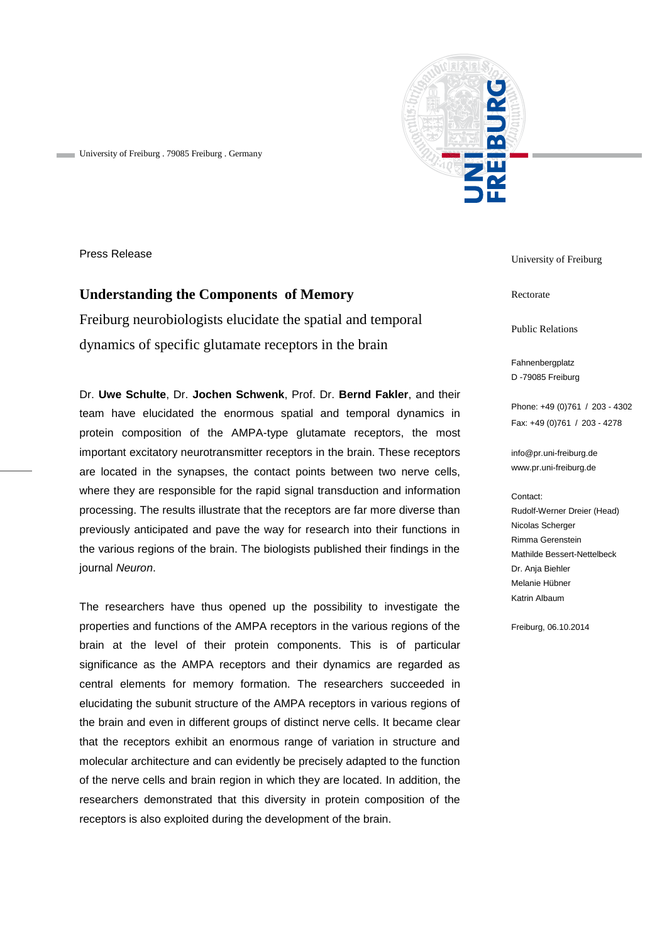University of Freiburg . 79085 Freiburg . Germany



Press Release

## **Understanding the Components of Memory**

Freiburg neurobiologists elucidate the spatial and temporal dynamics of specific glutamate receptors in the brain

Dr. **Uwe Schulte**, Dr. **Jochen Schwenk**, Prof. Dr. **Bernd Fakler**, and their team have elucidated the enormous spatial and temporal dynamics in protein composition of the AMPA-type glutamate receptors, the most important excitatory neurotransmitter receptors in the brain. These receptors are located in the synapses, the contact points between two nerve cells, where they are responsible for the rapid signal transduction and information processing. The results illustrate that the receptors are far more diverse than previously anticipated and pave the way for research into their functions in the various regions of the brain. The biologists published their findings in the journal *Neuron*.

The researchers have thus opened up the possibility to investigate the properties and functions of the AMPA receptors in the various regions of the brain at the level of their protein components. This is of particular significance as the AMPA receptors and their dynamics are regarded as central elements for memory formation. The researchers succeeded in elucidating the subunit structure of the AMPA receptors in various regions of the brain and even in different groups of distinct nerve cells. It became clear that the receptors exhibit an enormous range of variation in structure and molecular architecture and can evidently be precisely adapted to the function of the nerve cells and brain region in which they are located. In addition, the researchers demonstrated that this diversity in protein composition of the receptors is also exploited during the development of the brain.

University of Freiburg

Rectorate

Public Relations

Fahnenbergplatz D -79085 Freiburg

Phone: +49 (0)761 / 203 - 4302 Fax: +49 (0)761 / 203 - 4278

[info@pr.uni-freiburg.de](mailto:info@pr.uni-freiburg.de) www.pr.uni-freiburg.de

## Contact:

Rudolf-Werner Dreier (Head) Nicolas Scherger Rimma Gerenstein Mathilde Bessert-Nettelbeck Dr. Anja Biehler Melanie Hübner Katrin Albaum

Freiburg, 06.10.2014